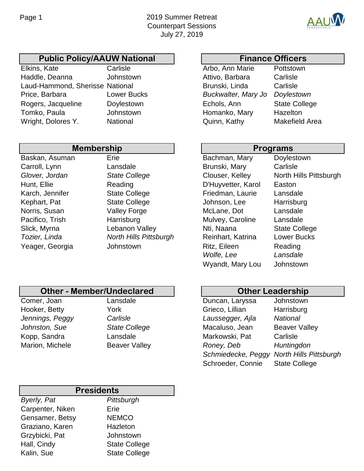

## Public Policy/AAUW National | | | Finance Officers

Elkins, Kate **Carlisle** Carlisle **Arbo**, Ann Marie Pottstown Haddle, Deanna Johnstown Attivo, Barbara Carlisle Laud-Hammond, Sherisse National **Brunski, Linda** Carlisle Price, Barbara Lower Bucks *Buckwalter, Mary Jo Doylestown* Rogers, Jacqueline Doylestown **Echols, Ann** State College Tomko, Paula **Iohnstown** Johnstown Homanko, Mary Hazelton Wright, Dolores Y. **National Makefield Area** Quinn, Kathy Makefield Area

## Baskan, Asuman, Mary Brie Carroll, Lynn Lansdale **Glover, Jordan State College** Hunt, Ellie **Reading Easton** D'Huyvetter, Karol Easton Karch, Jennifer **State College** Kephart, Pat State College Norris, Susan Valley Forge Pacifico, Trish Harrisburg Slick, Myrna Lebanon Valley **Tozier, Linda** *North Hills Pittsburgh* **Membership**

| Programs           |                        |
|--------------------|------------------------|
| Bachman, Mary      | Doylestown             |
| Brunski, Mary      | Carlisle               |
| Clouser, Kelley    | North Hills Pittsburgh |
| D'Huyvetter, Karol | Easton                 |
| Friedman, Laurie   | Lansdale               |
| Johnson, Lee       | Harrisburg             |
| McLane, Dot        | Lansdale               |
| Mulvey, Caroline   | Lansdale               |
| Nti, Naana         | <b>State College</b>   |
| Reinhart, Katrina  | <b>Lower Bucks</b>     |
| Ritz, Eileen       | Reading                |
| Wolfe, Lee         | Lansdale               |
| Wyandt, Mary Lou   | Johnstown              |
|                    |                        |

# **Other - Member/Undeclared Other Leadership**

Yeager, Georgia Johnstown

Comer, Joan Lansdale Hooker, Betty York *Jennings, Peggy Carlisle Johnston, Sue* **State College** Kopp, Sandra Lansdale **Marion, Michele Beaver Valley** 

| Duncan, Laryssa    | Johnstown                     |
|--------------------|-------------------------------|
| Grieco, Lillian    | Harrisburg                    |
| Laussegger, Ajla   | <b>National</b>               |
| Macaluso, Jean     | <b>Beaver Valley</b>          |
| Markowski, Pat     | Carlisle                      |
| Roney, Deb         | Huntingdon                    |
| Schmiedecke, Peggy | <b>North Hills Pittsburgh</b> |
| Schroeder, Connie  | <b>State College</b>          |

## *Byerly, Pat Pittsburgh* Carpenter, Niken Erie **Presidents**

| <b>Calpelliel, ININGIT</b> | ᆸᇆ                   |
|----------------------------|----------------------|
| Gensamer, Betsy            | <b>NEMCO</b>         |
| Graziano, Karen            | Hazleton             |
| Grzybicki, Pat             | Johnstown            |
| Hall, Cindy                | <b>State College</b> |
| Kalin, Sue                 | <b>State College</b> |